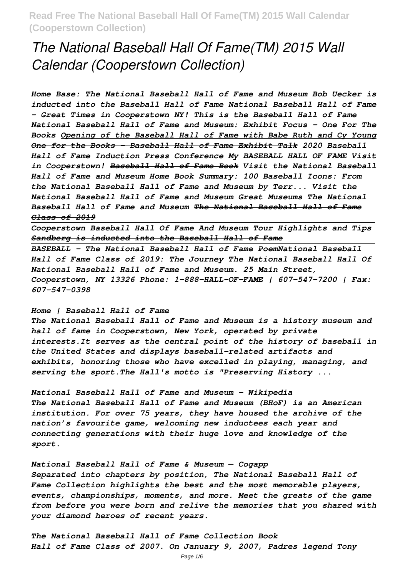# *The National Baseball Hall Of Fame(TM) 2015 Wall Calendar (Cooperstown Collection)*

*Home Base: The National Baseball Hall of Fame and Museum Bob Uecker is inducted into the Baseball Hall of Fame National Baseball Hall of Fame - Great Times in Cooperstown NY! This is the Baseball Hall of Fame National Baseball Hall of Fame and Museum: Exhibit Focus – One For The Books Opening of the Baseball Hall of Fame with Babe Ruth and Cy Young One for the Books - Baseball Hall of Fame Exhibit Talk 2020 Baseball Hall of Fame Induction Press Conference My BASEBALL HALL OF FAME Visit in Cooperstown! Baseball Hall of Fame Book Visit the National Baseball Hall of Fame and Museum Home Book Summary: 100 Baseball Icons: From the National Baseball Hall of Fame and Museum by Terr... Visit the National Baseball Hall of Fame and Museum Great Museums The National Baseball Hall of Fame and Museum The National Baseball Hall of Fame Class of 2019*

*Cooperstown Baseball Hall Of Fame And Museum Tour Highlights and Tips Sandberg is inducted into the Baseball Hall of Fame*

*BASEBALL - The National Baseball Hall of Fame PoemNational Baseball Hall of Fame Class of 2019: The Journey The National Baseball Hall Of National Baseball Hall of Fame and Museum. 25 Main Street, Cooperstown, NY 13326 Phone: 1-888-HALL-OF-FAME | 607-547-7200 | Fax: 607-547-0398*

#### *Home | Baseball Hall of Fame*

*The National Baseball Hall of Fame and Museum is a history museum and hall of fame in Cooperstown, New York, operated by private interests.It serves as the central point of the history of baseball in the United States and displays baseball-related artifacts and exhibits, honoring those who have excelled in playing, managing, and serving the sport.The Hall's motto is "Preserving History ...*

*National Baseball Hall of Fame and Museum - Wikipedia The National Baseball Hall of Fame and Museum (BHoF) is an American institution. For over 75 years, they have housed the archive of the nation's favourite game, welcoming new inductees each year and connecting generations with their huge love and knowledge of the sport.*

*National Baseball Hall of Fame & Museum — Cogapp Separated into chapters by position, The National Baseball Hall of Fame Collection highlights the best and the most memorable players, events, championships, moments, and more. Meet the greats of the game from before you were born and relive the memories that you shared with your diamond heroes of recent years.*

*The National Baseball Hall of Fame Collection Book Hall of Fame Class of 2007. On January 9, 2007, Padres legend Tony*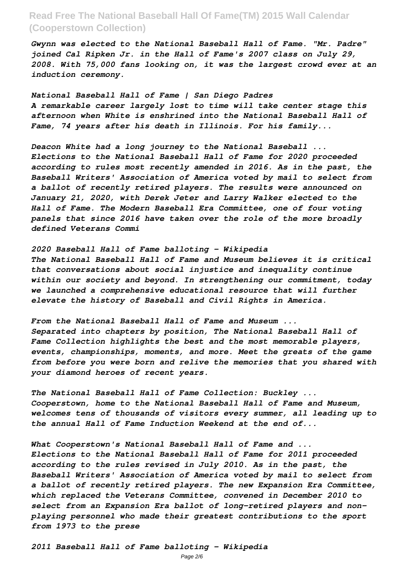*Gwynn was elected to the National Baseball Hall of Fame. "Mr. Padre" joined Cal Ripken Jr. in the Hall of Fame's 2007 class on July 29, 2008. With 75,000 fans looking on, it was the largest crowd ever at an induction ceremony.*

*National Baseball Hall of Fame | San Diego Padres A remarkable career largely lost to time will take center stage this afternoon when White is enshrined into the National Baseball Hall of Fame, 74 years after his death in Illinois. For his family...*

*Deacon White had a long journey to the National Baseball ... Elections to the National Baseball Hall of Fame for 2020 proceeded according to rules most recently amended in 2016. As in the past, the Baseball Writers' Association of America voted by mail to select from a ballot of recently retired players. The results were announced on January 21, 2020, with Derek Jeter and Larry Walker elected to the Hall of Fame. The Modern Baseball Era Committee, one of four voting panels that since 2016 have taken over the role of the more broadly defined Veterans Commi*

*2020 Baseball Hall of Fame balloting - Wikipedia The National Baseball Hall of Fame and Museum believes it is critical that conversations about social injustice and inequality continue within our society and beyond. In strengthening our commitment, today we launched a comprehensive educational resource that will further elevate the history of Baseball and Civil Rights in America.*

*From the National Baseball Hall of Fame and Museum ... Separated into chapters by position, The National Baseball Hall of Fame Collection highlights the best and the most memorable players, events, championships, moments, and more. Meet the greats of the game from before you were born and relive the memories that you shared with your diamond heroes of recent years.*

*The National Baseball Hall of Fame Collection: Buckley ... Cooperstown, home to the National Baseball Hall of Fame and Museum, welcomes tens of thousands of visitors every summer, all leading up to the annual Hall of Fame Induction Weekend at the end of...*

*What Cooperstown's National Baseball Hall of Fame and ... Elections to the National Baseball Hall of Fame for 2011 proceeded according to the rules revised in July 2010. As in the past, the Baseball Writers' Association of America voted by mail to select from a ballot of recently retired players. The new Expansion Era Committee, which replaced the Veterans Committee, convened in December 2010 to select from an Expansion Era ballot of long-retired players and nonplaying personnel who made their greatest contributions to the sport from 1973 to the prese*

*2011 Baseball Hall of Fame balloting - Wikipedia*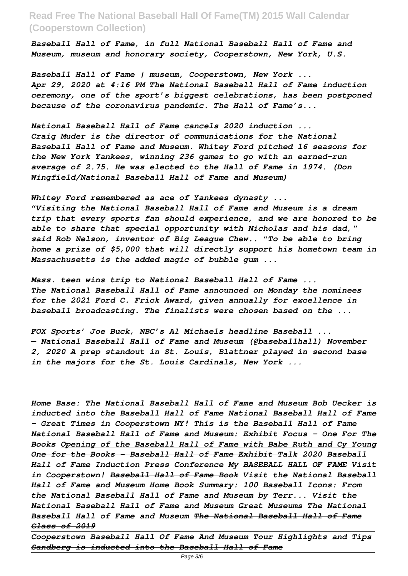*Baseball Hall of Fame, in full National Baseball Hall of Fame and Museum, museum and honorary society, Cooperstown, New York, U.S.*

*Baseball Hall of Fame | museum, Cooperstown, New York ... Apr 29, 2020 at 4:16 PM The National Baseball Hall of Fame induction ceremony, one of the sport's biggest celebrations, has been postponed because of the coronavirus pandemic. The Hall of Fame's...*

*National Baseball Hall of Fame cancels 2020 induction ... Craig Muder is the director of communications for the National Baseball Hall of Fame and Museum. Whitey Ford pitched 16 seasons for the New York Yankees, winning 236 games to go with an earned-run average of 2.75. He was elected to the Hall of Fame in 1974. (Don Wingfield/National Baseball Hall of Fame and Museum)*

*Whitey Ford remembered as ace of Yankees dynasty ... "Visiting the National Baseball Hall of Fame and Museum is a dream trip that every sports fan should experience, and we are honored to be able to share that special opportunity with Nicholas and his dad," said Rob Nelson, inventor of Big League Chew.. "To be able to bring home a prize of \$5,000 that will directly support his hometown team in Massachusetts is the added magic of bubble gum ...*

*Mass. teen wins trip to National Baseball Hall of Fame ... The National Baseball Hall of Fame announced on Monday the nominees for the 2021 Ford C. Frick Award, given annually for excellence in baseball broadcasting. The finalists were chosen based on the ...*

*FOX Sports' Joe Buck, NBC's Al Michaels headline Baseball ... — National Baseball Hall of Fame and Museum (@baseballhall) November 2, 2020 A prep standout in St. Louis, Blattner played in second base in the majors for the St. Louis Cardinals, New York ...*

*Home Base: The National Baseball Hall of Fame and Museum Bob Uecker is inducted into the Baseball Hall of Fame National Baseball Hall of Fame - Great Times in Cooperstown NY! This is the Baseball Hall of Fame National Baseball Hall of Fame and Museum: Exhibit Focus – One For The Books Opening of the Baseball Hall of Fame with Babe Ruth and Cy Young One for the Books - Baseball Hall of Fame Exhibit Talk 2020 Baseball Hall of Fame Induction Press Conference My BASEBALL HALL OF FAME Visit in Cooperstown! Baseball Hall of Fame Book Visit the National Baseball Hall of Fame and Museum Home Book Summary: 100 Baseball Icons: From the National Baseball Hall of Fame and Museum by Terr... Visit the National Baseball Hall of Fame and Museum Great Museums The National Baseball Hall of Fame and Museum The National Baseball Hall of Fame Class of 2019*

*Cooperstown Baseball Hall Of Fame And Museum Tour Highlights and Tips Sandberg is inducted into the Baseball Hall of Fame*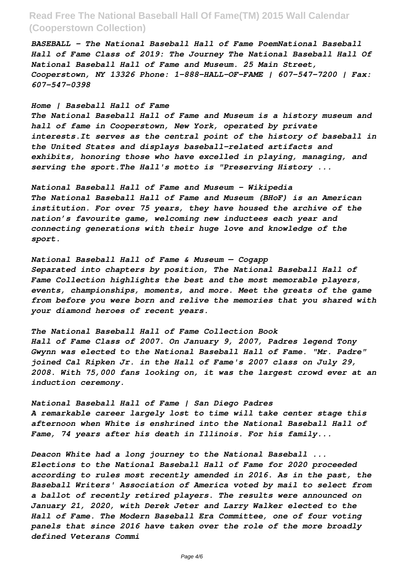*BASEBALL - The National Baseball Hall of Fame PoemNational Baseball Hall of Fame Class of 2019: The Journey The National Baseball Hall Of National Baseball Hall of Fame and Museum. 25 Main Street, Cooperstown, NY 13326 Phone: 1-888-HALL-OF-FAME | 607-547-7200 | Fax: 607-547-0398*

#### *Home | Baseball Hall of Fame*

*The National Baseball Hall of Fame and Museum is a history museum and hall of fame in Cooperstown, New York, operated by private interests.It serves as the central point of the history of baseball in the United States and displays baseball-related artifacts and exhibits, honoring those who have excelled in playing, managing, and serving the sport.The Hall's motto is "Preserving History ...*

*National Baseball Hall of Fame and Museum - Wikipedia The National Baseball Hall of Fame and Museum (BHoF) is an American institution. For over 75 years, they have housed the archive of the nation's favourite game, welcoming new inductees each year and connecting generations with their huge love and knowledge of the sport.*

*National Baseball Hall of Fame & Museum — Cogapp*

*Separated into chapters by position, The National Baseball Hall of Fame Collection highlights the best and the most memorable players, events, championships, moments, and more. Meet the greats of the game from before you were born and relive the memories that you shared with your diamond heroes of recent years.*

*The National Baseball Hall of Fame Collection Book Hall of Fame Class of 2007. On January 9, 2007, Padres legend Tony Gwynn was elected to the National Baseball Hall of Fame. "Mr. Padre" joined Cal Ripken Jr. in the Hall of Fame's 2007 class on July 29, 2008. With 75,000 fans looking on, it was the largest crowd ever at an induction ceremony.*

*National Baseball Hall of Fame | San Diego Padres A remarkable career largely lost to time will take center stage this afternoon when White is enshrined into the National Baseball Hall of Fame, 74 years after his death in Illinois. For his family...*

*Deacon White had a long journey to the National Baseball ... Elections to the National Baseball Hall of Fame for 2020 proceeded according to rules most recently amended in 2016. As in the past, the Baseball Writers' Association of America voted by mail to select from a ballot of recently retired players. The results were announced on January 21, 2020, with Derek Jeter and Larry Walker elected to the Hall of Fame. The Modern Baseball Era Committee, one of four voting panels that since 2016 have taken over the role of the more broadly defined Veterans Commi*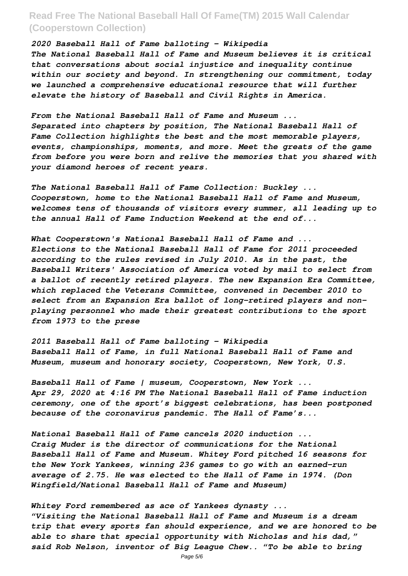#### *2020 Baseball Hall of Fame balloting - Wikipedia*

*The National Baseball Hall of Fame and Museum believes it is critical that conversations about social injustice and inequality continue within our society and beyond. In strengthening our commitment, today we launched a comprehensive educational resource that will further elevate the history of Baseball and Civil Rights in America.*

*From the National Baseball Hall of Fame and Museum ... Separated into chapters by position, The National Baseball Hall of Fame Collection highlights the best and the most memorable players, events, championships, moments, and more. Meet the greats of the game from before you were born and relive the memories that you shared with your diamond heroes of recent years.*

*The National Baseball Hall of Fame Collection: Buckley ... Cooperstown, home to the National Baseball Hall of Fame and Museum, welcomes tens of thousands of visitors every summer, all leading up to the annual Hall of Fame Induction Weekend at the end of...*

*What Cooperstown's National Baseball Hall of Fame and ... Elections to the National Baseball Hall of Fame for 2011 proceeded according to the rules revised in July 2010. As in the past, the Baseball Writers' Association of America voted by mail to select from a ballot of recently retired players. The new Expansion Era Committee, which replaced the Veterans Committee, convened in December 2010 to select from an Expansion Era ballot of long-retired players and nonplaying personnel who made their greatest contributions to the sport from 1973 to the prese*

*2011 Baseball Hall of Fame balloting - Wikipedia Baseball Hall of Fame, in full National Baseball Hall of Fame and Museum, museum and honorary society, Cooperstown, New York, U.S.*

*Baseball Hall of Fame | museum, Cooperstown, New York ... Apr 29, 2020 at 4:16 PM The National Baseball Hall of Fame induction ceremony, one of the sport's biggest celebrations, has been postponed because of the coronavirus pandemic. The Hall of Fame's...*

*National Baseball Hall of Fame cancels 2020 induction ... Craig Muder is the director of communications for the National Baseball Hall of Fame and Museum. Whitey Ford pitched 16 seasons for the New York Yankees, winning 236 games to go with an earned-run average of 2.75. He was elected to the Hall of Fame in 1974. (Don Wingfield/National Baseball Hall of Fame and Museum)*

*Whitey Ford remembered as ace of Yankees dynasty ... "Visiting the National Baseball Hall of Fame and Museum is a dream trip that every sports fan should experience, and we are honored to be able to share that special opportunity with Nicholas and his dad," said Rob Nelson, inventor of Big League Chew.. "To be able to bring*